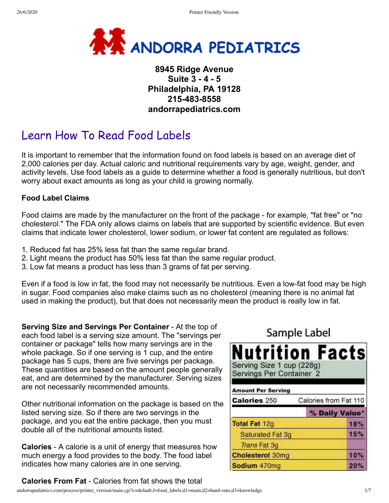

## **8945 Ridge Avenue Suite 3 - 4 - 5 Philadelphia, PA 19128 215-483-8558 andorrapediatrics.com**

# Learn How To Read Food Labels

It is important to remember that the information found on food labels is based on an average diet of 2,000 calories per day. Actual caloric and nutritional requirements vary by age, weight, gender, and activity levels. Use food labels as a guide to determine whether a food is generally nutritious, but don't worry about exact amounts as long as your child is growing normally.

#### **Food Label Claims**

Food claims are made by the manufacturer on the front of the package - for example, "fat free" or "no cholesterol." The FDA only allows claims on labels that are supported by scientific evidence. But even claims that indicate lower cholesterol, lower sodium, or lower fat content are regulated as follows:

- 1. Reduced fat has 25% less fat than the same regular brand.
- 2. Light means the product has 50% less fat than the same regular product.
- 3. Low fat means a product has less than 3 grams of fat per serving.

Even if a food is low in fat, the food may not necessarily be nutritious. Even a low-fat food may be high in sugar. Food companies also make claims such as no cholesterol (meaning there is no animal fat used in making the product), but that does not necessarily mean the product is really low in fat.

**Serving Size and Servings Per Container** - At the top of each food label is a serving size amount. The "servings per container or package" tells how many servings are in the whole package. So if one serving is 1 cup, and the entire package has 5 cups, there are five servings per package. These quantities are based on the amount people generally eat, and are determined by the manufacturer. Serving sizes are not necessarily recommended amounts.

Other nutritional information on the package is based on the listed serving size. So if there are two servings in the package, and you eat the entire package, then you must double all of the nutritional amounts listed.

**Calories** - A calorie is a unit of energy that measures how much energy a food provides to the body. The food label indicates how many calories are in one serving.

### **Calories From Fat** - Calories from fat shows the total

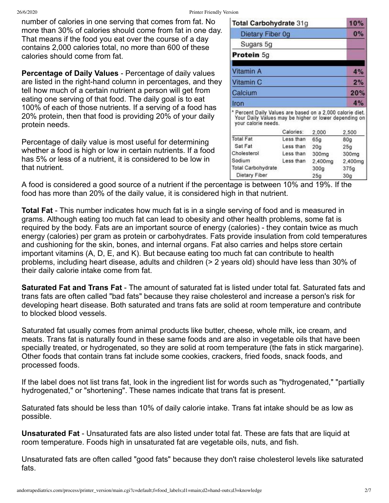26/6/2020 Printer Friendly Version

number of calories in one serving that comes from fat. No more than 30% of calories should come from fat in one day. That means if the food you eat over the course of a day contains 2,000 calories total, no more than 600 of these calories should come from fat.

**Percentage of Daily Values** - Percentage of daily values are listed in the right-hand column in percentages, and they tell how much of a certain nutrient a person will get from eating one serving of that food. The daily goal is to eat 100% of each of those nutrients. If a serving of a food has 20% protein, then that food is providing 20% of your daily protein needs.

Percentage of daily value is most useful for determining whether a food is high or low in certain nutrients. If a food has 5% or less of a nutrient, it is considered to be low in that nutrient.

| Total Carbohydrate 31g                                                                                                                    |           |                  | 10%             |  |
|-------------------------------------------------------------------------------------------------------------------------------------------|-----------|------------------|-----------------|--|
| Dietary Fiber 0g                                                                                                                          |           |                  | 0%              |  |
| Sugars 5g                                                                                                                                 |           |                  |                 |  |
| Protein 5g                                                                                                                                |           |                  |                 |  |
| Vitamin A                                                                                                                                 |           |                  | 4%              |  |
| Vitamin C<br>Calcium                                                                                                                      |           |                  | 2%              |  |
|                                                                                                                                           |           |                  | 20%             |  |
| Iron                                                                                                                                      |           |                  | 4%              |  |
| * Percent Daily Values are based on a 2,000 calorie diet.<br>Your Daily Values may be higher or lower depending on<br>your calorie needs. |           |                  |                 |  |
|                                                                                                                                           | Calories: | 2,000            | 2,500           |  |
| <b>Total Fat</b>                                                                                                                          | Less than | 65a              | 80a             |  |
| Sat Fat                                                                                                                                   | Less than | 20 <sub>q</sub>  | 25 <sub>g</sub> |  |
| Cholesterol                                                                                                                               | Less than | 300mg            | 300mg           |  |
| Sodium                                                                                                                                    | Less than | 2,400mg          | 2,400mg         |  |
| <b>Total Carbohydrate</b>                                                                                                                 |           | 300 <sub>g</sub> | 375g            |  |
| Dietary Fiber                                                                                                                             |           | 25 <sub>q</sub>  | 30 <sub>a</sub> |  |

A food is considered a good source of a nutrient if the percentage is between 10% and 19%. If the food has more than 20% of the daily value, it is considered high in that nutrient.

**Total Fat** - This number indicates how much fat is in a single serving of food and is measured in grams. Although eating too much fat can lead to obesity and other health problems, some fat is required by the body. Fats are an important source of energy (calories) - they contain twice as much energy (calories) per gram as protein or carbohydrates. Fats provide insulation from cold temperatures and cushioning for the skin, bones, and internal organs. Fat also carries and helps store certain important vitamins (A, D, E, and K). But because eating too much fat can contribute to health problems, including heart disease, adults and children (> 2 years old) should have less than 30% of their daily calorie intake come from fat.

**Saturated Fat and Trans Fat** - The amount of saturated fat is listed under total fat. Saturated fats and trans fats are often called "bad fats" because they raise cholesterol and increase a person's risk for developing heart disease. Both saturated and trans fats are solid at room temperature and contribute to blocked blood vessels.

Saturated fat usually comes from animal products like butter, cheese, whole milk, ice cream, and meats. Trans fat is naturally found in these same foods and are also in vegetable oils that have been specially treated, or hydrogenated, so they are solid at room temperature (the fats in stick margarine). Other foods that contain trans fat include some cookies, crackers, fried foods, snack foods, and processed foods.

If the label does not list trans fat, look in the ingredient list for words such as "hydrogenated," "partially hydrogenated," or "shortening". These names indicate that trans fat is present.

Saturated fats should be less than 10% of daily calorie intake. Trans fat intake should be as low as possible.

**Unsaturated Fat** - Unsaturated fats are also listed under total fat. These are fats that are liquid at room temperature. Foods high in unsaturated fat are vegetable oils, nuts, and fish.

Unsaturated fats are often called "good fats" because they don't raise cholesterol levels like saturated fats.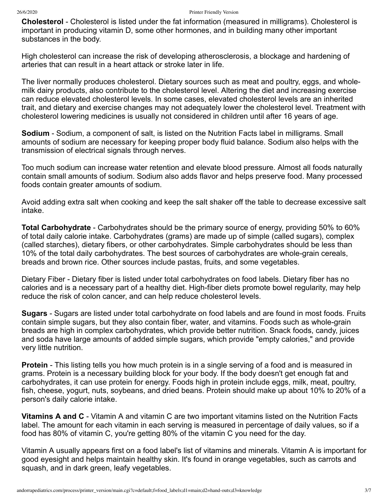**Cholesterol** - Cholesterol is listed under the fat information (measured in milligrams). Cholesterol is important in producing vitamin D, some other hormones, and in building many other important substances in the body.

High cholesterol can increase the risk of developing atherosclerosis, a blockage and hardening of arteries that can result in a heart attack or stroke later in life.

The liver normally produces cholesterol. Dietary sources such as meat and poultry, eggs, and wholemilk dairy products, also contribute to the cholesterol level. Altering the diet and increasing exercise can reduce elevated cholesterol levels. In some cases, elevated cholesterol levels are an inherited trait, and dietary and exercise changes may not adequately lower the cholesterol level. Treatment with cholesterol lowering medicines is usually not considered in children until after 16 years of age.

**Sodium** - Sodium, a component of salt, is listed on the Nutrition Facts label in milligrams. Small amounts of sodium are necessary for keeping proper body fluid balance. Sodium also helps with the transmission of electrical signals through nerves.

Too much sodium can increase water retention and elevate blood pressure. Almost all foods naturally contain small amounts of sodium. Sodium also adds flavor and helps preserve food. Many processed foods contain greater amounts of sodium.

Avoid adding extra salt when cooking and keep the salt shaker off the table to decrease excessive salt intake.

**Total Carbohydrate** - Carbohydrates should be the primary source of energy, providing 50% to 60% of total daily calorie intake. Carbohydrates (grams) are made up of simple (called sugars), complex (called starches), dietary fibers, or other carbohydrates. Simple carbohydrates should be less than 10% of the total daily carbohydrates. The best sources of carbohydrates are whole-grain cereals, breads and brown rice. Other sources include pastas, fruits, and some vegetables.

Dietary Fiber - Dietary fiber is listed under total carbohydrates on food labels. Dietary fiber has no calories and is a necessary part of a healthy diet. High-fiber diets promote bowel regularity, may help reduce the risk of colon cancer, and can help reduce cholesterol levels.

**Sugars** - Sugars are listed under total carbohydrate on food labels and are found in most foods. Fruits contain simple sugars, but they also contain fiber, water, and vitamins. Foods such as whole-grain breads are high in complex carbohydrates, which provide better nutrition. Snack foods, candy, juices and soda have large amounts of added simple sugars, which provide "empty calories," and provide very little nutrition.

**Protein** - This listing tells you how much protein is in a single serving of a food and is measured in grams. Protein is a necessary building block for your body. If the body doesn't get enough fat and carbohydrates, it can use protein for energy. Foods high in protein include eggs, milk, meat, poultry, fish, cheese, yogurt, nuts, soybeans, and dried beans. Protein should make up about 10% to 20% of a person's daily calorie intake.

**Vitamins A and C** - Vitamin A and vitamin C are two important vitamins listed on the Nutrition Facts label. The amount for each vitamin in each serving is measured in percentage of daily values, so if a food has 80% of vitamin C, you're getting 80% of the vitamin C you need for the day.

Vitamin A usually appears first on a food label's list of vitamins and minerals. Vitamin A is important for good eyesight and helps maintain healthy skin. It's found in orange vegetables, such as carrots and squash, and in dark green, leafy vegetables.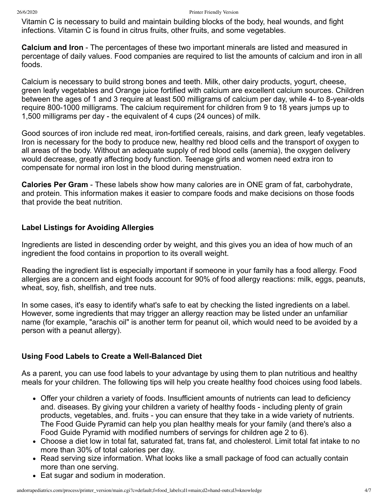Vitamin C is necessary to build and maintain building blocks of the body, heal wounds, and fight infections. Vitamin C is found in citrus fruits, other fruits, and some vegetables.

**Calcium and Iron** - The percentages of these two important minerals are listed and measured in percentage of daily values. Food companies are required to list the amounts of calcium and iron in all foods.

Calcium is necessary to build strong bones and teeth. Milk, other dairy products, yogurt, cheese, green leafy vegetables and Orange juice fortified with calcium are excellent calcium sources. Children between the ages of 1 and 3 require at least 500 milligrams of calcium per day, while 4- to 8-year-olds require 800-1000 milligrams. The calcium requirement for children from 9 to 18 years jumps up to 1,500 milligrams per day - the equivalent of 4 cups (24 ounces) of milk.

Good sources of iron include red meat, iron-fortified cereals, raisins, and dark green, leafy vegetables. Iron is necessary for the body to produce new, healthy red blood cells and the transport of oxygen to all areas of the body. Without an adequate supply of red blood cells (anemia), the oxygen delivery would decrease, greatly affecting body function. Teenage girls and women need extra iron to compensate for normal iron lost in the blood during menstruation.

**Calories Per Gram** - These labels show how many calories are in ONE gram of fat, carbohydrate, and protein. This information makes it easier to compare foods and make decisions on those foods that provide the beat nutrition.

#### **Label Listings for Avoiding Allergies**

Ingredients are listed in descending order by weight, and this gives you an idea of how much of an ingredient the food contains in proportion to its overall weight.

Reading the ingredient list is especially important if someone in your family has a food allergy. Food allergies are a concern and eight foods account for 90% of food allergy reactions: milk, eggs, peanuts, wheat, soy, fish, shellfish, and tree nuts.

In some cases, it's easy to identify what's safe to eat by checking the listed ingredients on a label. However, some ingredients that may trigger an allergy reaction may be listed under an unfamiliar name (for example, "arachis oil" is another term for peanut oil, which would need to be avoided by a person with a peanut allergy).

### **Using Food Labels to Create a Well-Balanced Diet**

As a parent, you can use food labels to your advantage by using them to plan nutritious and healthy meals for your children. The following tips will help you create healthy food choices using food labels.

- Offer your children a variety of foods. Insufficient amounts of nutrients can lead to deficiency and. diseases. By giving your children a variety of healthy foods - including plenty of grain products, vegetables, and. fruits - you can ensure that they take in a wide variety of nutrients. The Food Guide Pyramid can help you plan healthy meals for your family (and there's also a Food Guide Pyramid with modified numbers of servings for children age 2 to 6).
- Choose a diet low in total fat, saturated fat, trans fat, and cholesterol. Limit total fat intake to no more than 30% of total calories per day.
- Read serving size information. What looks like a small package of food can actually contain more than one serving.
- Eat sugar and sodium in moderation.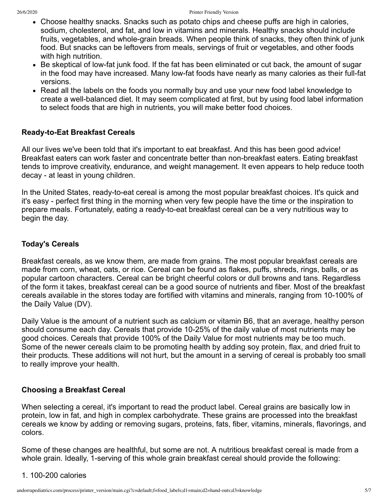- Choose healthy snacks. Snacks such as potato chips and cheese puffs are high in calories, sodium, cholesterol, and fat, and low in vitamins and minerals. Healthy snacks should include fruits, vegetables, and whole-grain breads. When people think of snacks, they often think of junk food. But snacks can be leftovers from meals, servings of fruit or vegetables, and other foods with high nutrition.
- Be skeptical of low-fat junk food. If the fat has been eliminated or cut back, the amount of sugar in the food may have increased. Many low-fat foods have nearly as many calories as their full-fat versions.
- Read all the labels on the foods you normally buy and use your new food label knowledge to create a well-balanced diet. It may seem complicated at first, but by using food label information to select foods that are high in nutrients, you will make better food choices.

#### **Ready-to-Eat Breakfast Cereals**

All our lives we've been told that it's important to eat breakfast. And this has been good advice! Breakfast eaters can work faster and concentrate better than non-breakfast eaters. Eating breakfast tends to improve creativity, endurance, and weight management. It even appears to help reduce tooth decay - at least in young children.

In the United States, ready-to-eat cereal is among the most popular breakfast choices. It's quick and it's easy - perfect first thing in the morning when very few people have the time or the inspiration to prepare meals. Fortunately, eating a ready-to-eat breakfast cereal can be a very nutritious way to begin the day.

#### **Today's Cereals**

Breakfast cereals, as we know them, are made from grains. The most popular breakfast cereals are made from corn, wheat, oats, or rice. Cereal can be found as flakes, puffs, shreds, rings, balls, or as popular cartoon characters. Cereal can be bright cheerful colors or dull browns and tans. Regardless of the form it takes, breakfast cereal can be a good source of nutrients and fiber. Most of the breakfast cereals available in the stores today are fortified with vitamins and minerals, ranging from 10-100% of the Daily Value (DV).

Daily Value is the amount of a nutrient such as calcium or vitamin B6, that an average, healthy person should consume each day. Cereals that provide 10-25% of the daily value of most nutrients may be good choices. Cereals that provide 100% of the Daily Value for most nutrients may be too much. Some of the newer cereals claim to be promoting health by adding soy protein, flax, and dried fruit to their products. These additions will not hurt, but the amount in a serving of cereal is probably too small to really improve your health.

#### **Choosing a Breakfast Cereal**

When selecting a cereal, it's important to read the product label. Cereal grains are basically low in protein, low in fat, and high in complex carbohydrate. These grains are processed into the breakfast cereals we know by adding or removing sugars, proteins, fats, fiber, vitamins, minerals, flavorings, and colors.

Some of these changes are healthful, but some are not. A nutritious breakfast cereal is made from a whole grain. Ideally, 1-serving of this whole grain breakfast cereal should provide the following:

#### 1. 100-200 calories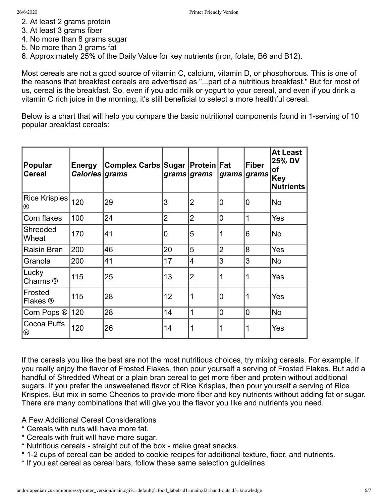- 2. At least 2 grams protein
- 3. At least 3 grams fiber
- 4. No more than 8 grams sugar
- 5. No more than 3 grams fat
- 6. Approximately 25% of the Daily Value for key nutrients (iron, folate, B6 and B12).

Most cereals are not a good source of vitamin C, calcium, vitamin D, or phosphorous. This is one of the reasons that breakfast cereals are advertised as "...part of a nutritious breakfast." But for most of us, cereal is the breakfast. So, even if you add milk or yogurt to your cereal, and even if you drink a vitamin C rich juice in the morning, it's still beneficial to select a more healthful cereal.

Below is a chart that will help you compare the basic nutritional components found in 1-serving of 10 popular breakfast cereals:

| Popular<br><b>Cereal</b> | <b>Energy</b><br>Calories grams | Complex Carbs Sugar   Protein   Fat |                | grams grams    | grams grams    | <b>Fiber</b> | <b>At Least</b><br><b>25% DV</b><br><b>of</b><br><b>Key</b><br><b>Nutrients</b> |
|--------------------------|---------------------------------|-------------------------------------|----------------|----------------|----------------|--------------|---------------------------------------------------------------------------------|
| Rice Krispies<br>®       | 120                             | 29                                  | 3              | 2              | 0              | 0            | No                                                                              |
| Corn flakes              | 100                             | 24                                  | $\overline{2}$ | $\overline{2}$ | $\overline{0}$ | $\mathbf{1}$ | Yes                                                                             |
| Shredded<br>Wheat        | 170                             | 41                                  | 0              | 5              | 1              | 6            | <b>No</b>                                                                       |
| Raisin Bran              | 200                             | 46                                  | 20             | 5              | $\overline{2}$ | 8            | Yes                                                                             |
| Granola                  | 200                             | 41                                  | 17             | 4              | 3              | 3            | <b>No</b>                                                                       |
| Lucky<br>Charms ®        | 115                             | 25                                  | 13             | $\overline{2}$ | 1              | 1            | Yes                                                                             |
| Frosted<br>Flakes ®      | 115                             | 28                                  | 12             | 1              | $\overline{0}$ | 1            | Yes                                                                             |
| Corn Pops ®              | 120                             | 28                                  | 14             | 1              | 0              | 0            | <b>No</b>                                                                       |
| Cocoa Puffs<br>®         | 120                             | 26                                  | 14             | 1              | 1              | 1            | Yes                                                                             |

If the cereals you like the best are not the most nutritious choices, try mixing cereals. For example, if you really enjoy the flavor of Frosted Flakes, then pour yourself a serving of Frosted Flakes. But add a handful of Shredded Wheat or a plain bran cereal to get more fiber and protein without additional sugars. If you prefer the unsweetened flavor of Rice Krispies, then pour yourself a serving of Rice Krispies. But mix in some Cheerios to provide more fiber and key nutrients without adding fat or sugar. There are many combinations that will give you the flavor you like and nutrients you need.

A Few Additional Cereal Considerations

- \* Cereals with nuts will have more fat.
- \* Cereals with fruit will have more sugar.
- \* Nutritious cereals straight out of the box make great snacks.
- \* 1-2 cups of cereal can be added to cookie recipes for additional texture, fiber, and nutrients.
- \* If you eat cereal as cereal bars, follow these same selection guidelines